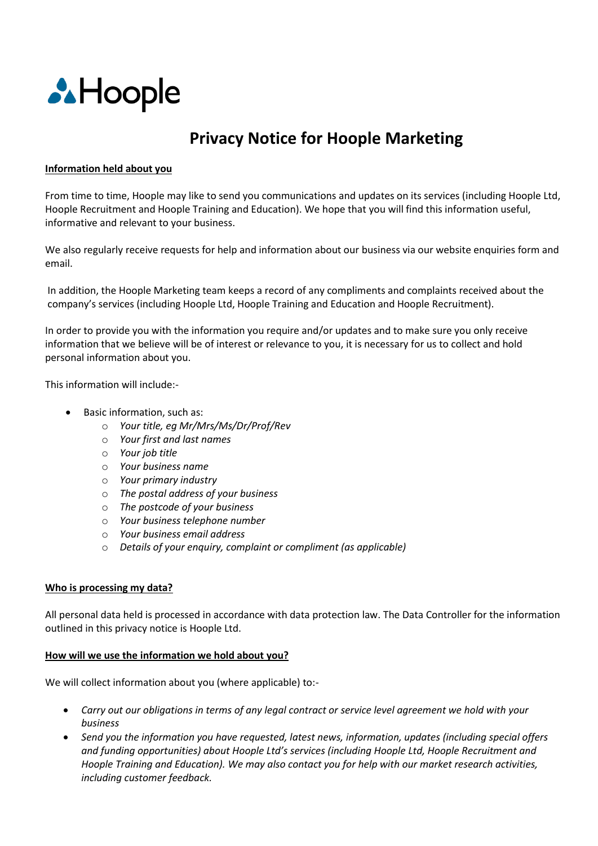

# **Privacy Notice for Hoople Marketing**

## **Information held about you**

From time to time, Hoople may like to send you communications and updates on its services (including Hoople Ltd, Hoople Recruitment and Hoople Training and Education). We hope that you will find this information useful, informative and relevant to your business.

We also regularly receive requests for help and information about our business via our website enquiries form and email.

In addition, the Hoople Marketing team keeps a record of any compliments and complaints received about the company's services (including Hoople Ltd, Hoople Training and Education and Hoople Recruitment).

In order to provide you with the information you require and/or updates and to make sure you only receive information that we believe will be of interest or relevance to you, it is necessary for us to collect and hold personal information about you.

This information will include:-

- Basic information, such as:
	- o *Your title, eg Mr/Mrs/Ms/Dr/Prof/Rev*
	- o *Your first and last names*
	- o *Your job title*
	- o *Your business name*
	- o *Your primary industry*
	- o *The postal address of your business*
	- o *The postcode of your business*
	- o *Your business telephone number*
	- o *Your business email address*
	- o *Details of your enquiry, complaint or compliment (as applicable)*

## **Who is processing my data?**

All personal data held is processed in accordance with data protection law. The Data Controller for the information outlined in this privacy notice is Hoople Ltd.

## **How will we use the information we hold about you?**

We will collect information about you (where applicable) to:-

- *Carry out our obligations in terms of any legal contract or service level agreement we hold with your business*
- *Send you the information you have requested, latest news, information, updates (including special offers and funding opportunities) about Hoople Ltd's services (including Hoople Ltd, Hoople Recruitment and Hoople Training and Education). We may also contact you for help with our market research activities, including customer feedback.*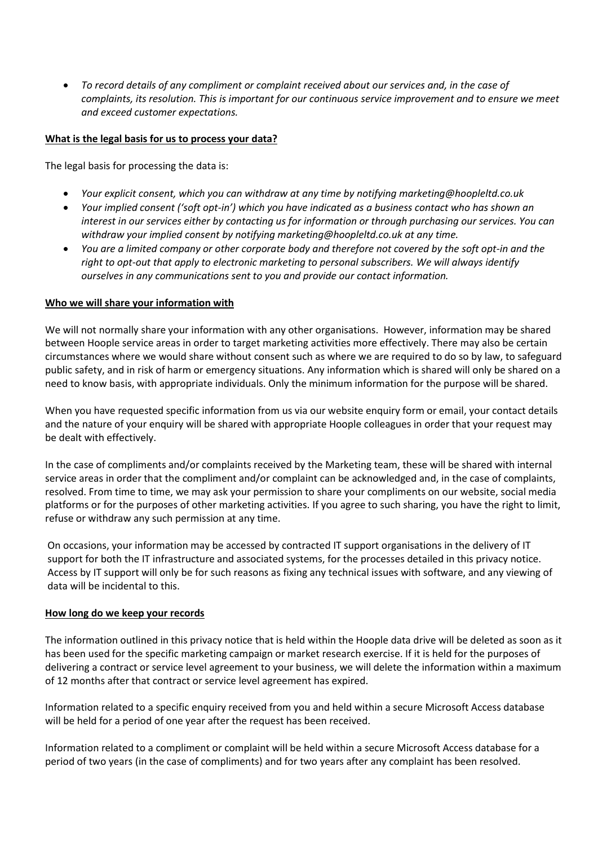*To record details of any compliment or complaint received about our services and, in the case of complaints, its resolution. This is important for our continuous service improvement and to ensure we meet and exceed customer expectations.* 

# **What is the legal basis for us to process your data?**

The legal basis for processing the data is:

- *Your explicit consent, which you can withdraw at any time by notifying marketing@hoopleltd.co.uk*
- *Your implied consent ('soft opt-in') which you have indicated as a business contact who has shown an interest in our services either by contacting us for information or through purchasing our services. You can withdraw your implied consent by notifying marketing@hoopleltd.co.uk at any time.*
- *You are a limited company or other corporate body and therefore not covered by the soft opt-in and the right to opt-out that apply to electronic marketing to personal subscribers. We will always identify ourselves in any communications sent to you and provide our contact information.*

# **Who we will share your information with**

We will not normally share your information with any other organisations. However, information may be shared between Hoople service areas in order to target marketing activities more effectively. There may also be certain circumstances where we would share without consent such as where we are required to do so by law, to safeguard public safety, and in risk of harm or emergency situations. Any information which is shared will only be shared on a need to know basis, with appropriate individuals. Only the minimum information for the purpose will be shared.

When you have requested specific information from us via our website enquiry form or email, your contact details and the nature of your enquiry will be shared with appropriate Hoople colleagues in order that your request may be dealt with effectively.

In the case of compliments and/or complaints received by the Marketing team, these will be shared with internal service areas in order that the compliment and/or complaint can be acknowledged and, in the case of complaints, resolved. From time to time, we may ask your permission to share your compliments on our website, social media platforms or for the purposes of other marketing activities. If you agree to such sharing, you have the right to limit, refuse or withdraw any such permission at any time.

On occasions, your information may be accessed by contracted IT support organisations in the delivery of IT support for both the IT infrastructure and associated systems, for the processes detailed in this privacy notice. Access by IT support will only be for such reasons as fixing any technical issues with software, and any viewing of data will be incidental to this.

## **How long do we keep your records**

The information outlined in this privacy notice that is held within the Hoople data drive will be deleted as soon as it has been used for the specific marketing campaign or market research exercise. If it is held for the purposes of delivering a contract or service level agreement to your business, we will delete the information within a maximum of 12 months after that contract or service level agreement has expired.

Information related to a specific enquiry received from you and held within a secure Microsoft Access database will be held for a period of one year after the request has been received.

Information related to a compliment or complaint will be held within a secure Microsoft Access database for a period of two years (in the case of compliments) and for two years after any complaint has been resolved.